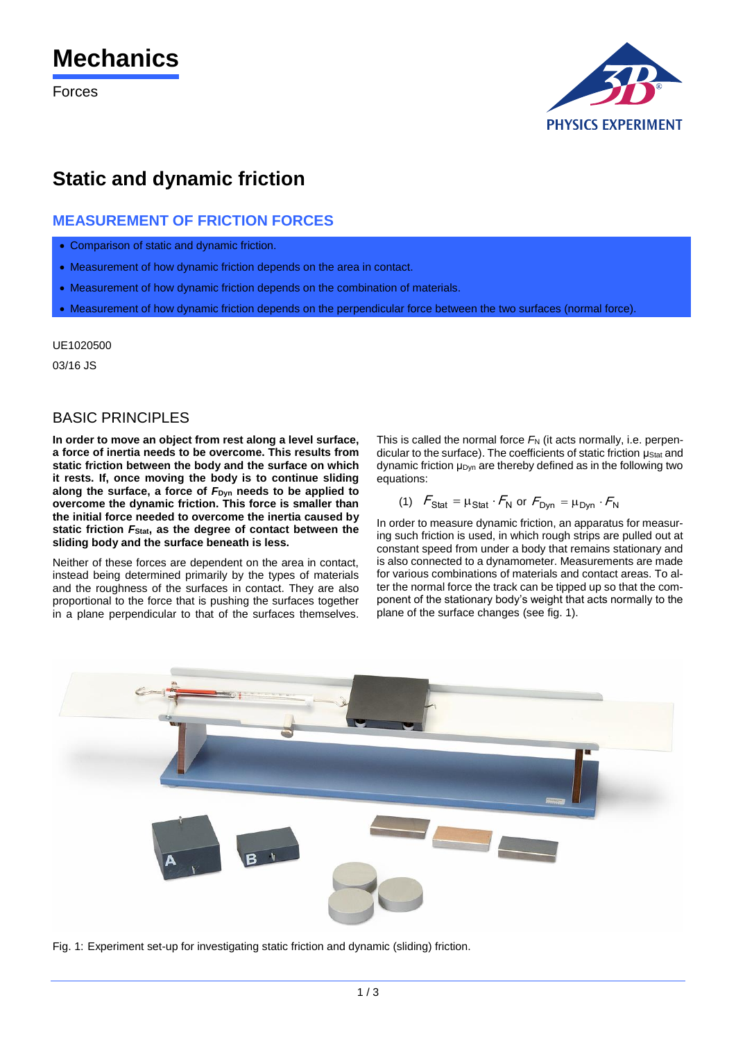# **Mechanics**

Forces



# **Static and dynamic friction**

## **MEASUREMENT OF FRICTION FORCES**

- Comparison of static and dynamic friction.
- Measurement of how dynamic friction depends on the area in contact.
- Measurement of how dynamic friction depends on the combination of materials.
- Measurement of how dynamic friction depends on the perpendicular force between the two surfaces (normal force).

UE1020500

03/16 JS

### **BASIC PRINCIPLES**

**In order to move an object from rest along a level surface, a force of inertia needs to be overcome. This results from static friction between the body and the surface on which it rests. If, once moving the body is to continue sliding along the surface, a force of** *F***Dyn needs to be applied to overcome the dynamic friction. This force is smaller than the initial force needed to overcome the inertia caused by static friction** *F***Stat, as the degree of contact between the sliding body and the surface beneath is less.**

Neither of these forces are dependent on the area in contact, instead being determined primarily by the types of materials and the roughness of the surfaces in contact. They are also proportional to the force that is pushing the surfaces together in a plane perpendicular to that of the surfaces themselves. This is called the normal force  $F_N$  (it acts normally, i.e. perpendicular to the surface). The coefficients of static friction μstat and dynamic friction μ<sub>Dyn</sub> are thereby defined as in the following two equations:

(1) 
$$
F_{\text{Stat}} = \mu_{\text{Stat}} \cdot F_{\text{N}}
$$
 or  $F_{\text{Dyn}} = \mu_{\text{Dyn}} \cdot F_{\text{N}}$ 

In order to measure dynamic friction, an apparatus for measuring such friction is used, in which rough strips are pulled out at constant speed from under a body that remains stationary and is also connected to a dynamometer. Measurements are made for various combinations of materials and contact areas. To alter the normal force the track can be tipped up so that the component of the stationary body's weight that acts normally to the plane of the surface changes (see fig. 1).



Fig. 1: Experiment set-up for investigating static friction and dynamic (sliding) friction.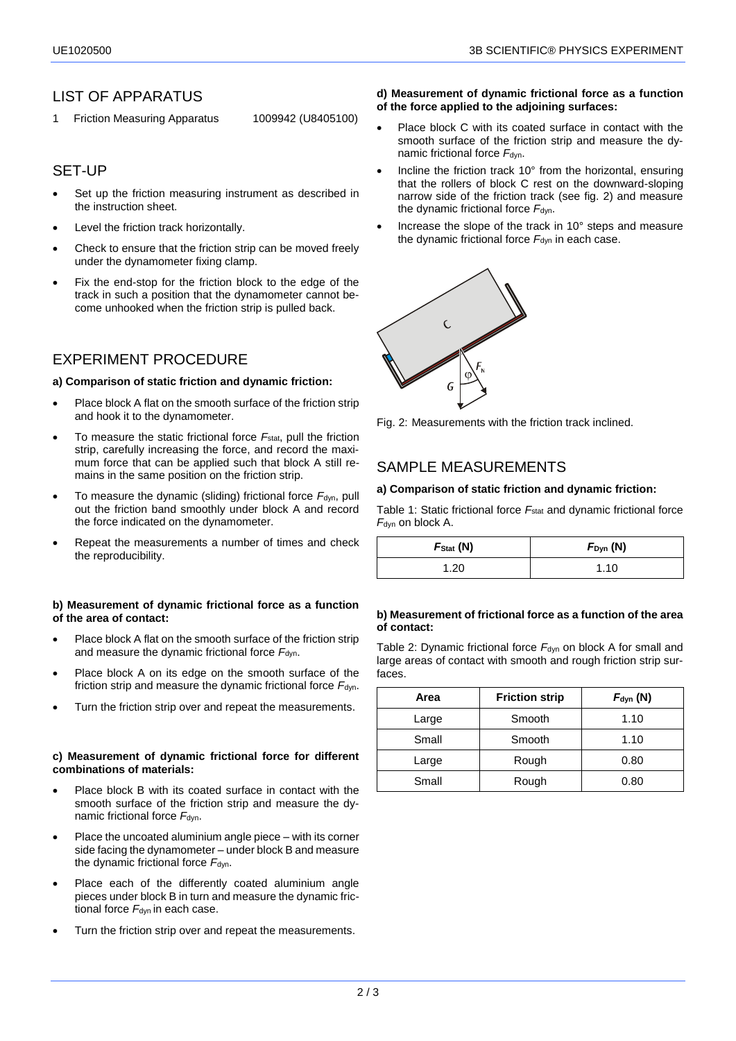### LIST OF APPARATUS

1 Friction Measuring Apparatus 1009942 (U8405100)

### SET-UP

- Set up the friction measuring instrument as described in the instruction sheet.
- Level the friction track horizontally.
- Check to ensure that the friction strip can be moved freely under the dynamometer fixing clamp.
- Fix the end-stop for the friction block to the edge of the track in such a position that the dynamometer cannot become unhooked when the friction strip is pulled back.

### EXPERIMENT PROCEDURE

#### **a) Comparison of static friction and dynamic friction:**

- Place block A flat on the smooth surface of the friction strip and hook it to the dynamometer.
- To measure the static frictional force *F*stat, pull the friction strip, carefully increasing the force, and record the maximum force that can be applied such that block A still remains in the same position on the friction strip.
- To measure the dynamic (sliding) frictional force *F*dyn, pull out the friction band smoothly under block A and record the force indicated on the dynamometer.
- Repeat the measurements a number of times and check the reproducibility.

#### **b) Measurement of dynamic frictional force as a function of the area of contact:**

- Place block A flat on the smooth surface of the friction strip and measure the dynamic frictional force  $F_{dyn}$ .
- Place block A on its edge on the smooth surface of the friction strip and measure the dynamic frictional force  $F_{\text{dyn}}$ .
- Turn the friction strip over and repeat the measurements.

#### **c) Measurement of dynamic frictional force for different combinations of materials:**

- Place block B with its coated surface in contact with the smooth surface of the friction strip and measure the dynamic frictional force  $F_{dyn.}$
- Place the uncoated aluminium angle piece with its corner side facing the dynamometer – under block B and measure the dynamic frictional force  $F_{dyn}$ .
- Place each of the differently coated aluminium angle pieces under block B in turn and measure the dynamic frictional force  $F_{dyn}$  in each case.
- Turn the friction strip over and repeat the measurements.

#### **d) Measurement of dynamic frictional force as a function of the force applied to the adjoining surfaces:**

- Place block C with its coated surface in contact with the smooth surface of the friction strip and measure the dynamic frictional force  $F_{dyn}$ .
- Incline the friction track 10° from the horizontal, ensuring that the rollers of block C rest on the downward-sloping narrow side of the friction track (see fig. 2) and measure the dynamic frictional force  $F_{dyn}$ .
- Increase the slope of the track in 10° steps and measure the dynamic frictional force *F*dyn in each case.



Fig. 2: Measurements with the friction track inclined.

### SAMPLE MEASUREMENTS

#### **a) Comparison of static friction and dynamic friction:**

Table 1: Static frictional force F<sub>stat</sub> and dynamic frictional force *F*dyn on block A.

| $F_{\text{Stat}}\left(\mathsf{N}\right)$ | $F_{\text{Dyn}}(N)$ |
|------------------------------------------|---------------------|
| 1.20                                     | 1.10                |

#### **b) Measurement of frictional force as a function of the area of contact:**

Table 2: Dynamic frictional force F<sub>dyn</sub> on block A for small and large areas of contact with smooth and rough friction strip surfaces.

| Area  | <b>Friction strip</b> | $F_{\text{dyn}}$ (N) |
|-------|-----------------------|----------------------|
| Large | Smooth                | 1.10                 |
| Small | Smooth                | 1.10                 |
| Large | Rough                 | 0.80                 |
| Small | Rough                 | 0.80                 |